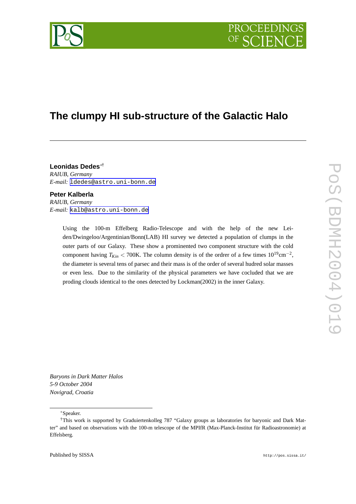

# **The clump y HI sub-structure of the Galactic Halo**

**Leonidas Dedes** ∗ † *RAIUB, Germany E-mail:* [ldedes@astro.uni-bonn.de](mailto:ldedes@astro.uni-bonn.de)

### **Peter Kalberla**

*RAIUB, Germany E-mail:* [kalb@astro.uni-bonn.de](mailto:kalb@astro.uni-bonn.de)

> Using the 100-m Effelber g Radio-Telescope and with the help of the ne w Leiden/Dwingeloo/Argentinian/Bonn(LAB) HI survey we detected a population of clumps in the outer parts of our Galaxy . These sho w a prominented tw o component structure with the cold component having  $T_{Kin}$  < 700K. The column density is of the ordrer of a few times  $10^{19}$ cm<sup>-2</sup>, the diameter is se veral tens of parsec and their mass is of the order of se veral hudred solar masses or even less. Due to the similarity of the physical parameters we have cocluded that we are proding clouds identical to the ones detected by Lockman(2002) in the inner Galaxy .

*Baryons in Dark Matter Halos 5-9 October 2004 Novigrad, Croatia*

#### <sup>∗</sup>Speaker.

<sup>†</sup>This work is supported by Graduiertenkolle g 787 "Galaxy groups as laboratories for baryonic and Dark Matter" and based on observations with the 100-m telescope of the MPIfR (Max-Planck-Institut für Radioastronomie) at Effelsberg.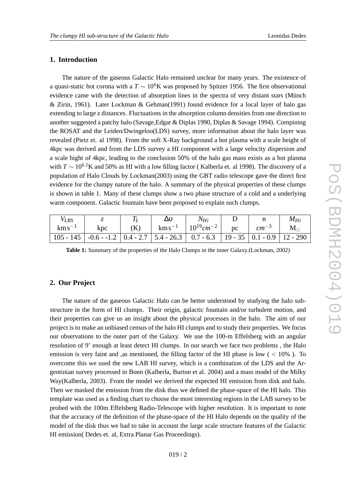# **1. Introduction**

The nature of the gaseous Galactic Halo remained unclear for many years. The existence of a quasi-static hot corona with a  $T \sim 10^6$ K was proposed by Spitzer 1956. The first observational evidence came with the detection of absorption lines in the spectra of very distant stars (Münch & Zirin, 1961). Later Lockman & Gehman(1991) found evidence for a local layer of halo gas extending to large z distances. Fluctuations in the absorption column densities from one direction to another suggested a patchy halo (Savage,Edgar & Diplas 1990, Diplas & Savage 1994). Compining the ROSAT and the Leiden/Dwingeloo(LDS) survey, more information about the halo layer was re vealed (Pietz et. al 1998). From the soft X-Ray background a hot plasma with a scale height of 4kpc was derived and from the LDS survey a HI component with a large velocity dispersion and a scale hight of 4kpc, leading to the conclusion 50% of the halo gas mass exists as a hot plasma with  $T \sim 10^{6.2}$ K and 50% as HI with a low filling factor (Kalberla et. al 1998). The discovery of a population of Halo Clouds by Lockman(2003) using the GBT radio telescope gave the direct first evidence for the clump y nature of the halo. A summary of the physical properties of these clumps is shown in table 1. Man y of these clumps sho w a tw o phase structure of a cold and a underlying warm component. Galactic fountain have been proposed to explain such clumps.

| $V_{LRS}$   |                                                                                               |     | $\Delta v$ | $N_{Hi}$                                      |                               | $M_{Hi}$    |
|-------------|-----------------------------------------------------------------------------------------------|-----|------------|-----------------------------------------------|-------------------------------|-------------|
| $km s^{-1}$ | kpc.                                                                                          | (K) |            | $\rm km\,s^{-1}$   $10^{19}$ cm <sup>-2</sup> | $pc \quad \sim \quad cm^{-3}$ | $M_{\odot}$ |
|             | 105 - 145   -0.6 - -1.2   0.4 - 2.7   5.4 - 26.3   0.7 - 6.3   19 - 35   0.1 - 0.9   12 - 290 |     |            |                                               |                               |             |

**Table 1:** Summary of the properties of the Halo Clumps in the inner Galaxy.(Lockman, 2002)

# **2. Our Project**

The nature of the gaseous Galactic Halo can be better understood by studying the halo substructure in the form of HI clumps. Their origin, galactic fountain and/or turbulent motion, and their properties can give us an insight about the physical processes in the halo. The aim of our project is to mak e an unbiased census of the halo HI clumps and to study their properties. We focus our observations to the outer part of the Galaxy . We use the 100-m Effelsber g with an angular resolution of 9' enough at least detect HI clumps. In our search we face two problems, the Halo emission is very faint and ,as mentioned, the filling factor of the HI phase is low (< 10%). To overcome this we used the new LAB HI survey, which is a combination of the LDS and the Argentinian survey processed in Bonn (Kalberla, Burton et al. 2004) and a mass model of the Milky Way(Kalberla, 2003). From the model we derived the expected HI emission from disk and halo. Then we masked the emission from the disk thus we defined the phase-space of the HI halo. This template was used as a finding chart to choose the most interesting regions in the LAB survey to be probed with the 100m Effelsber g Radio-Telescope with higher resolution. It is important to note that the accurac y of the definition of the phase-space of the HI Halo depends on the quality of the model of the disk thus we had to tak e in account the large scale structure features of the Galactic HI emission( Dedes et. al, Extra Planar Gas Proceedings).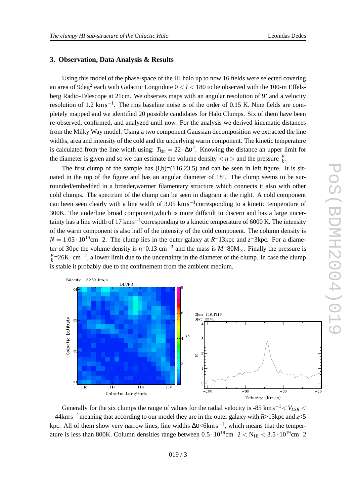## **3. Obser vation, Data Analysis & Results**

Using this model of the phase-space of the HI halo up to no w 16 fields were selected co vering an area of 9deg<sup>2</sup> each with Galactic Longtidute  $0 < l < 180$  to be observed with the 100-m Effelsberg Radio-Telescope at 21cm. We observes maps with an angular resolution of 9' and a velocity resolution of 1.2  $\text{km s}^{-1}$ . The rms baseline noise is of the order of 0.15 K. Nine fields are completely mapped and we identified 20 possible candidates for Halo Clumps. Six of them have been re-observed, confirmed, and analyzed until now. For the analysis we derived kinematic distances from the Milky Way model. Using a tw o component Gaussian decomposition we extracted the line widths, area and intensity of the cold and the underlying warm component. The kinetic temperature is calculated from the line width using:  $T_{kin} = 22 \cdot \Delta v^2$ . Knowing the distance an upper limit for the diameter is given and so we can estimate the volume density  $\langle n \rangle$  and the pressure  $\frac{p}{k}$ .

The first clump of the sample has  $(l,b)=(116,23.5)$  and can be seen in left figure. It is situated in the top of the figure and has an angular diameter of 18'. The clump seems to be surrounded/embedded in a broader,warmer filamentary structure which connects it also with other cold clumps. The spectrum of the clump can be seen in diagram at the right. A cold component can been seen clearly with a line width of  $3.05 \text{ km s}^{-1}$ corresponding to a kinetic temperature of 300K. The underline broad component,which is more difficult to discern and has a large uncer tainty has a line width of 17  $\text{km s}^{-1}$ corresponding to a kinetic temperature of 6000 K. The intensity of the warm component is also half of the intensity of the cold component. The column density is  $N = 1.05 \cdot 10^{19}$  cm<sup>-2</sup>. The clump lies in the outer galaxy at *R*=13kpc and *z*=3kpc. For a diameter of 30pc the volume density is  $n=0.13$  cm<sup>-3</sup> and the mass is  $M=80M_{\odot}$ . Finally the pressure is  $\frac{p}{k}$ =26K · cm<sup>-2</sup>, a lower limit due to the uncertainty in the diameter of the clump. In case the clump is stable it probably due to the confinement from the ambient medium.



Generally for the six clumps the range of values for the radial velocity is -85 km s<sup>-1</sup> <  $V_{LSR}$  < −44km s − <sup>1</sup>meaning that according to our model the y are in the outer galaxy with *R*>13kpc and *z*<5 kpc. All of them show very narrow lines, line widths  $\Delta v \le 6 \text{km s}^{-1}$ , which means that the temperature is less than 800K. Column densities range between  $0.5 \cdot 10^{19}$ cm<sup>-2</sup> < N<sub>HI</sub> <  $3.5 \cdot 10^{19}$ cm<sup>-2</sup>